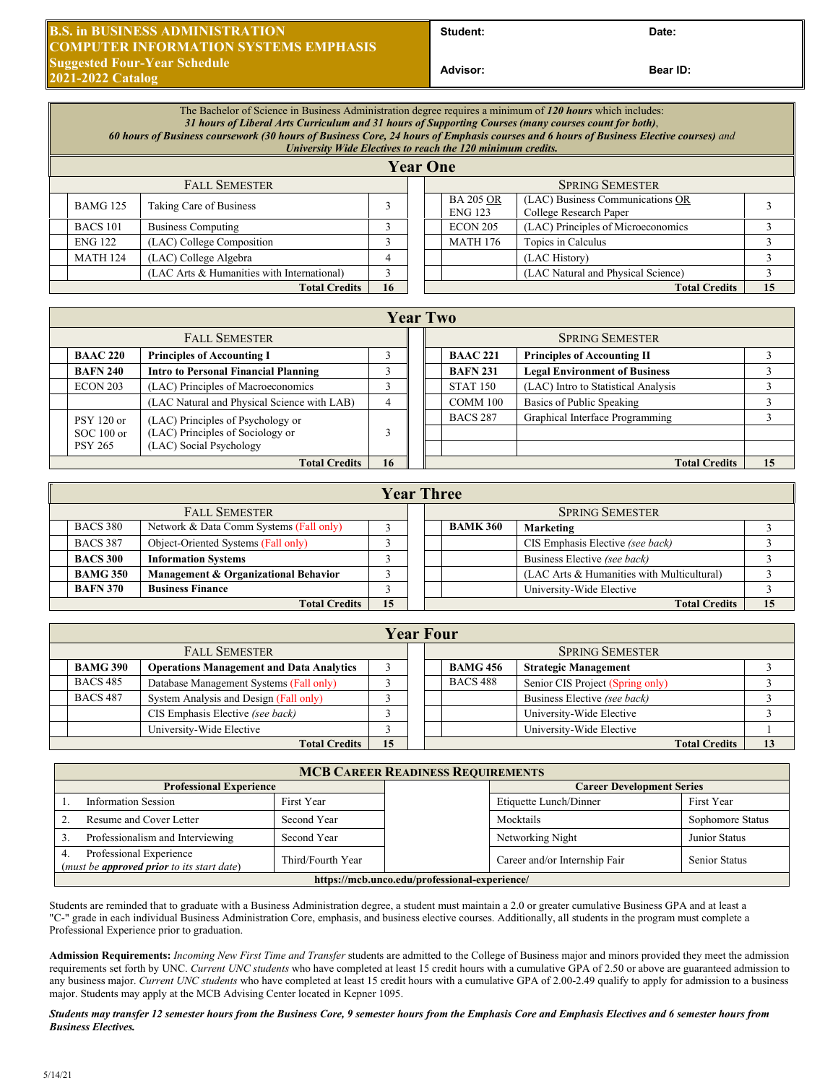## **B.S. in BUSINESS ADMINISTRATION COMPUTER INFORMATION SYSTEMS EMPHASIS Suggested Four-Year Schedule 2021-2022 Catalog**

Student: Date:

**Bear ID:** 

|                      | The Bachelor of Science in Business Administration degree requires a minimum of 120 hours which includes:<br>31 hours of Liberal Arts Curriculum and 31 hours of Supporting Courses (many courses count for both),<br>60 hours of Business coursework (30 hours of Business Core, 24 hours of Emphasis courses and 6 hours of Business Elective courses) and<br>University Wide Electives to reach the 120 minimum credits.<br><b>Year One</b> |                                            |   |  |                        |                                    |                                                            |  |  |
|----------------------|------------------------------------------------------------------------------------------------------------------------------------------------------------------------------------------------------------------------------------------------------------------------------------------------------------------------------------------------------------------------------------------------------------------------------------------------|--------------------------------------------|---|--|------------------------|------------------------------------|------------------------------------------------------------|--|--|
|                      | <b>FALL SEMESTER</b>                                                                                                                                                                                                                                                                                                                                                                                                                           |                                            |   |  | <b>SPRING SEMESTER</b> |                                    |                                                            |  |  |
|                      | <b>BAMG 125</b>                                                                                                                                                                                                                                                                                                                                                                                                                                | Taking Care of Business                    |   |  |                        | <b>BA 205 OR</b><br><b>ENG 123</b> | (LAC) Business Communications OR<br>College Research Paper |  |  |
|                      | <b>BACS 101</b>                                                                                                                                                                                                                                                                                                                                                                                                                                | <b>Business Computing</b>                  |   |  |                        | ECON 205                           | (LAC) Principles of Microeconomics                         |  |  |
|                      | <b>ENG 122</b>                                                                                                                                                                                                                                                                                                                                                                                                                                 | (LAC) College Composition                  |   |  |                        | <b>MATH 176</b>                    | Topics in Calculus                                         |  |  |
|                      | <b>MATH 124</b>                                                                                                                                                                                                                                                                                                                                                                                                                                | (LAC) College Algebra                      | 4 |  |                        |                                    | (LAC History)                                              |  |  |
|                      |                                                                                                                                                                                                                                                                                                                                                                                                                                                | (LAC Arts & Humanities with International) | 3 |  |                        |                                    | (LAC Natural and Physical Science)                         |  |  |
| <b>Total Credits</b> |                                                                                                                                                                                                                                                                                                                                                                                                                                                | 16                                         |   |  |                        | <b>Total Credits</b>               | 15                                                         |  |  |

|                      | <b>Year Two</b>      |                                             |   |  |                        |                 |                                      |    |  |
|----------------------|----------------------|---------------------------------------------|---|--|------------------------|-----------------|--------------------------------------|----|--|
| <b>FALL SEMESTER</b> |                      |                                             |   |  | <b>SPRING SEMESTER</b> |                 |                                      |    |  |
|                      | <b>BAAC 220</b>      | <b>Principles of Accounting I</b>           |   |  |                        | <b>BAAC 221</b> | <b>Principles of Accounting II</b>   |    |  |
|                      | <b>BAFN 240</b>      | <b>Intro to Personal Financial Planning</b> |   |  |                        | <b>BAFN 231</b> | <b>Legal Environment of Business</b> |    |  |
|                      | ECON 203             | (LAC) Principles of Macroeconomics          |   |  |                        | <b>STAT 150</b> | (LAC) Intro to Statistical Analysis  |    |  |
|                      |                      | (LAC Natural and Physical Science with LAB) | 4 |  |                        | COMM 100        | Basics of Public Speaking            |    |  |
|                      | $PSY$ 120 or         | (LAC) Principles of Psychology or           |   |  |                        | <b>BACS 287</b> | Graphical Interface Programming      |    |  |
|                      | $SOC 100$ or         | (LAC) Principles of Sociology or            |   |  |                        |                 |                                      |    |  |
|                      | <b>PSY 265</b>       | (LAC) Social Psychology                     |   |  |                        |                 |                                      |    |  |
|                      | <b>Total Credits</b> |                                             |   |  |                        |                 | <b>Total Credits</b>                 | 15 |  |

|                                                            | <b>Year Three</b>          |                                      |  |  |                 |                              |                                            |    |
|------------------------------------------------------------|----------------------------|--------------------------------------|--|--|-----------------|------------------------------|--------------------------------------------|----|
|                                                            | <b>FALL SEMESTER</b>       |                                      |  |  |                 | <b>SPRING SEMESTER</b>       |                                            |    |
| <b>BACS 380</b><br>Network & Data Comm Systems (Fall only) |                            |                                      |  |  | <b>BAMK 360</b> | Marketing                    |                                            |    |
|                                                            | <b>BACS 387</b>            | Object-Oriented Systems (Fall only)  |  |  |                 |                              | CIS Emphasis Elective (see back)           |    |
| <b>Information Systems</b><br><b>BACS 300</b>              |                            |                                      |  |  |                 | Business Elective (see back) |                                            |    |
|                                                            | <b>BAMG 350</b>            | Management & Organizational Behavior |  |  |                 |                              | (LAC Arts & Humanities with Multicultural) |    |
|                                                            | <b>BAFN 370</b>            | <b>Business Finance</b>              |  |  |                 |                              | University-Wide Elective                   |    |
|                                                            | 15<br><b>Total Credits</b> |                                      |  |  |                 |                              | <b>Total Credits</b>                       | 15 |

|                                                                    | <b>Year Four</b>                                          |                                         |  |                 |                             |                              |                                  |  |
|--------------------------------------------------------------------|-----------------------------------------------------------|-----------------------------------------|--|-----------------|-----------------------------|------------------------------|----------------------------------|--|
| <b>FALL SEMESTER</b>                                               |                                                           |                                         |  |                 | <b>SPRING SEMESTER</b>      |                              |                                  |  |
| <b>BAMG 390</b><br><b>Operations Management and Data Analytics</b> |                                                           |                                         |  | <b>BAMG 456</b> | <b>Strategic Management</b> |                              |                                  |  |
|                                                                    | <b>BACS 485</b>                                           | Database Management Systems (Fall only) |  |                 |                             | <b>BACS 488</b>              | Senior CIS Project (Spring only) |  |
|                                                                    | <b>BACS 487</b><br>System Analysis and Design (Fall only) |                                         |  |                 |                             | Business Elective (see back) |                                  |  |
| CIS Emphasis Elective (see back)                                   |                                                           |                                         |  |                 |                             | University-Wide Elective     |                                  |  |
|                                                                    |                                                           | University-Wide Elective                |  |                 |                             |                              | University-Wide Elective         |  |
|                                                                    | 15<br><b>Total Credits</b>                                |                                         |  |                 |                             |                              | <b>Total Credits</b>             |  |

| <b>MCB CAREER READINESS REQUIREMENTS</b>                                              |                   |                                  |                               |                  |  |  |
|---------------------------------------------------------------------------------------|-------------------|----------------------------------|-------------------------------|------------------|--|--|
| <b>Professional Experience</b>                                                        |                   | <b>Career Development Series</b> |                               |                  |  |  |
| <b>Information Session</b>                                                            | First Year        |                                  | Etiquette Lunch/Dinner        | First Year       |  |  |
| Resume and Cover Letter<br>Second Year                                                |                   |                                  | Mocktails                     | Sophomore Status |  |  |
| Professionalism and Interviewing                                                      | Second Year       |                                  | Networking Night              | Junior Status    |  |  |
| Professional Experience<br>( <i>must be <b>approved prior</b> to its start date</i> ) | Third/Fourth Year |                                  | Career and/or Internship Fair | Senior Status    |  |  |
| https://mcb.unco.edu/professional-experience/                                         |                   |                                  |                               |                  |  |  |

Students are reminded that to graduate with a Business Administration degree, a student must maintain a 2.0 or greater cumulative Business GPA and at least a "C-" grade in each individual Business Administration Core, emphasis, and business elective courses. Additionally, all students in the program must complete a Professional Experience prior to graduation.

**Admission Requirements:** *Incoming New First Time and Transfer* students are admitted to the College of Business major and minors provided they meet the admission requirements set forth by UNC. *Current UNC students* who have completed at least 15 credit hours with a cumulative GPA of 2.50 or above are guaranteed admission to any business major. *Current UNC students* who have completed at least 15 credit hours with a cumulative GPA of 2.00-2.49 qualify to apply for admission to a business major. Students may apply at the MCB Advising Center located in Kepner 1095.

*Students may transfer 12 semester hours from the Business Core, 9 semester hours from the Emphasis Core and Emphasis Electives and 6 semester hours from Business Electives.*